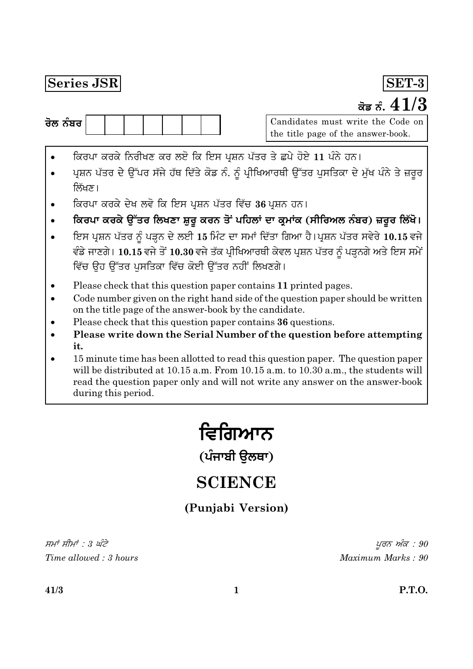### Series JSR



Candidates must write the Code on the title page of the answer-book.

SET-3

ਕੋਡ ਨੰ.  $41/3$ 

- ਕਿਰਪਾ ਕਰਕੇ ਨਿਰੀਖਣ ਕਰ ਲਏ ਕਿ ਇਸ ਪ੍ਰਸ਼ਨ ਪੱਤਰ ਤੇ ਛਪੇ ਹੋਏ 11 ਪੰਨੇ ਹਨ।
- ਪ੍ਰਸ਼ਨ ਪੱਤਰ ਦੇ ਉੱਪਰ ਸੱਜੇ ਹੱਥ ਦਿੱਤੇ ਕੋਡ ਨੰ. ਨੂੰ ਪ੍ਰੀਖਿਆਰਥੀ ਉੱਤਰ ਪੁਸਤਿਕਾ ਦੇ ਮੁੱਖ ਪੰਨੇ ਤੇ ਜ਼ਰੂਰ ਲਿੱਖਣ।
- ਕਿਰਪਾ ਕਰਕੇ ਦੇਖ ਲਵੋ ਕਿ ਇਸ ਪ੍ਰਸ਼ਨ ਪੱਤਰ ਵਿੱਚ 36 ਪ੍ਰਸ਼ਨ ਹਨ।
- ਕਿਰਪਾ ਕਰਕੇ ਉੱਤਰ ਲਿਖਣਾ ਸ਼ੁਰੂ ਕਰਨ ਤੋਂ ਪਹਿਲਾਂ ਦਾ ਕ੍ਰਮਾਂਕ (ਸੀਰਿਅਲ ਨੰਬਰ) ਜ਼ਰੂਰ ਲਿੱਖੋ।
- ਇਸ ਪ੍ਰਸ਼ਨ ਪੱਤਰ ਨੂੰ ਪੜ੍ਹਨ ਦੇ ਲਈ 15 ਮਿੰਟ ਦਾ ਸਮਾਂ ਦਿੱਤਾ ਗਿਆ ਹੈ।ਪ੍ਰਸ਼ਨ ਪੱਤਰ ਸਵੇਰੇ 10.15 ਵਜੇ ਵੰਡੇ ਜਾਣਗੇ। 10.15 ਵਜੇ ਤੋਂ 10.30 ਵਜੇ ਤੱਕ ਪ੍ਰੀਖਿਆਰਥੀ ਕੇਵਲ ਪੁਸ਼ਨ ਪੱਤਰ ਨੂੰ ਪੜ੍ਹਨਗੇ ਅਤੇ ਇਸ ਸਮੇਂ ਵਿੱਚ ਉਹ ਉੱਤਰ ਪਸਤਿਕਾ ਵਿੱਚ ਕੋਈ ਉੱਤਰ ਨਹੀਂ ਲਿਖਣਗੇ।
- Please check that this question paper contains 11 printed pages.
- Code number given on the right hand side of the question paper should be written on the title page of the answer-book by the candidate.
- Please check that this question paper contains 36 questions.
- Please write down the Serial Number of the question before attempting it.
- 15 minute time has been allotted to read this question paper. The question paper will be distributed at 10.15 a.m. From 10.15 a.m. to 10.30 a.m., the students will read the question paper only and will not write any answer on the answer-book during this period.

# ਵਿਗਿਆਨ

(ਪੰਜਾਬੀ ੳਲਥਾ)

## **SCIENCE**

(Punjabi Version)

ਸਮਾਂ ਸੀਮਾਂ : 3 ਘੰਟੇ Time allowed: 3 hours

ਪਰਨ ਅੰਕ : 90 Maximum Marks: 90

**P.T.O.**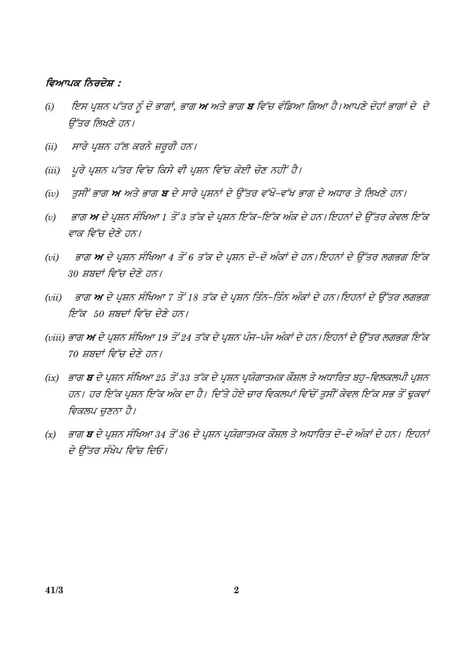#### ਵਿਆਪਕ ਨਿਰਦੇਸ਼ :

- ਇਸ ਪ੍ਰਸ਼ਨ ਪੱਤਰ ਨੂੰ ਦੋ ਭਾਗਾਂ, ਭਾਗ **ਅ** ਅਤੇ ਭਾਗ **ਬ** ਵਿੱਚ ਵੰਡਿਆ ਗਿਆ ਹੈ।ਆਪਣੇ ਦੋਹਾਂ ਭਾਗਾਂ ਦੇ ਦੇ  $(i)$ ਉੱਤਰ ਲਿਖਣੇ ਹਨ।
- ਸਾਰੇ ਪੁਸ਼ਨ ਹੱਲ ਕਰਨੇ ਜ਼ਰਰੀ ਹਨ।  $(ii)$
- ਪਰੇ ਪੁਸ਼ਨ ਪੱਤਰ ਵਿੱਚ ਕਿਸੇ ਵੀ ਪੁਸ਼ਨ ਵਿੱਚ ਕੋਈ ਚੋਣ ਨਹੀਂ ਹੈ।  $(iii)$
- ਤਸੀਂ ਭਾਗ **ਅ** ਅਤੇ ਭਾਗ **ਬ** ਦੇ ਸਾਰੇ ਪੁਸ਼ਨਾਂ ਦੇ ਉੱਤਰ ਵੱਖੋ-ਵੱਖ ਭਾਗ ਦੇ ਅਧਾਰ ਤੇ ਲਿਖਣੇ ਹਨ।  $(iv)$
- ਭਾਗ ਅ ਦੇ ਪੁਸ਼ਨ ਸੰਖਿਆ 1 ਤੋਂ 3 ਤੱਕ ਦੇ ਪੁਸ਼ਨ ਇੱਕ-ਇੱਕ ਅੰਕ ਦੇ ਹਨ। ਇਹਨਾਂ ਦੇ ਉੱਤਰ ਕੇਵਲ ਇੱਕ  $(v)$ ਵਾਕ ਵਿੱਚ ਦੇਣੇ ਹਨ।
- ਭਾਗ **ਅ** ਦੇ ਪਸ਼ਨ ਸੰਖਿਆ 4 ਤੋਂ 6 ਤੱਕ ਦੇ ਪਸ਼ਨ ਦੋ–ਦੋ ਅੰਕਾਂ ਦੇ ਹਨ। ਇਹਨਾਂ ਦੇ ਉੱਤਰ ਲਗਭਗ ਇੱਕ  $(vi)$ 30 ਸ਼ਬਦਾਂ ਵਿੱਚ ਦੇਣੇ ਹਨ।
- (vii) ਭਾਗ ਅ ਦੇ ਪ੍ਰਸ਼ਨ ਸੰਖਿਆ 7 ਤੋਂ 18 ਤੱਕ ਦੇ ਪ੍ਰਸ਼ਨ ਤਿੰਨ-ਤਿੰਨ ਅੰਕਾਂ ਦੇ ਹਨ।ਇਹਨਾਂ ਦੇ ਉੱਤਰ ਲਗਭਗ ਇੱਕ 50 ਸ਼ਬਦਾਂ ਵਿੱਚ ਦੇਣੇ ਹਨ।
- (viii) ਭਾਗ **ਅ** ਦੇ ਪ੍ਰਸ਼ਨ ਸੰਖਿਆ 19 ਤੋਂ 24 ਤੱਕ ਦੇ ਪ੍ਰਸ਼ਨ ਪੰਜ–ਪੰਜ ਅੰਕਾਂ ਦੇ ਹਨ। ਇਹਨਾਂ ਦੇ ਉੱਤਰ ਲਗਭਗ ਇੱਕ 70 ਸ਼ਬਦਾਂ ਵਿੱਚ ਦੇਣੇ ਹਨ।
- (ix) ਭਾਗ **ਬ** ਦੇ ਪੁਸ਼ਨ ਸੰਖਿਆ 25 ਤੋਂ 33 ਤੱਕ ਦੇ ਪੁਸ਼ਨ ਪੁਯੋਗਾਤਮਕ ਕੌਸ਼ਲ ਤੇ ਅਧਾਰਿਤ ਬਹ–ਵਿਲਕਲਪੀ ਪੁਸ਼ਨ ਹਨ। ਹਰ ਇੱਕ ਪ੍ਰਸ਼ਨ ਇੱਕ ਅੰਕ ਦਾ ਹੈ। ਦਿੱਤੇ ਹੋਏ ਚਾਰ ਵਿਕਲਪਾਂ ਵਿੱਚੋਂ ਤੁਸੀਂ ਕੇਵਲ ਇੱਕ ਸਭ ਤੋਂ ਢੁਕਵਾਂ ਵਿਕਲਪ ਚੁਣਨਾ ਹੈ।
- ਭਾਗ **ਬ** ਦੇ ਪ੍ਰਸ਼ਨ ਸੰਖਿਆ 34 ਤੋਂ 36 ਦੇ ਪ੍ਰਸ਼ਨ ਪ੍ਰਯੋਗਾਤਮਕ ਕੌਸ਼ਲ ਤੇ ਅਧਾਰਿਤ ਦੋ–ਦੋ ਅੰਕਾਂ ਦੇ ਹਨ। ਇਹਨਾਂ  $(x)$ ਦੇ ਉੱਤਰ ਸੰਖੇਪ ਵਿੱਚ ਦਿਓ।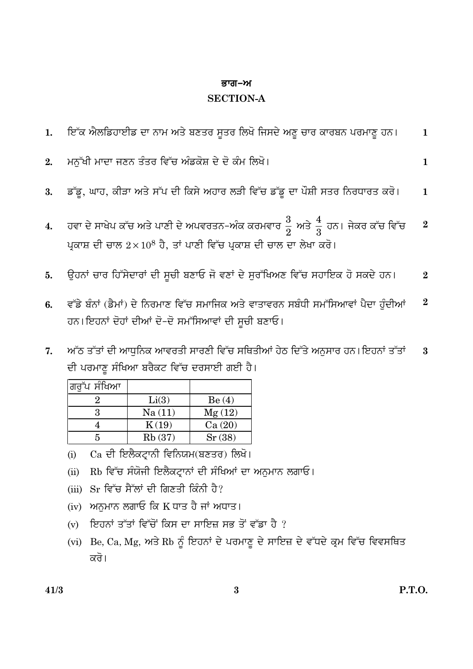#### ਭਾਗ–ਅ

#### **SECTION-A**

| 1. ਇੱਕ ਐਲਡਿਹਾਈਡ ਦਾ ਨਾਮ ਅਤੇ ਬਣਤਰ ਸੂਤਰ ਲਿਖੋ ਜਿਸਦੇ ਅਣੂ ਚਾਰ ਕਾਰਬਨ ਪਰਮਾਣੂ ਹਨ।                                                                                                                                                                                                                                  | 1 |
|-----------------------------------------------------------------------------------------------------------------------------------------------------------------------------------------------------------------------------------------------------------------------------------------------------------|---|
| 2. ਮਨੱਖੀ ਮਾਦਾ ਜਣਨ ਤੰਤਰ ਵਿੱਚ ਅੰਡਕੋਸ਼ ਦੇ ਦੋ ਕੰਮ ਲਿਖੋ।                                                                                                                                                                                                                                                       |   |
| 3. ਡੱਡੂ, ਘਾਹ, ਕੀੜਾ ਅਤੇ ਸੱਪ ਦੀ ਕਿਸੇ ਅਹਾਰ ਲੜੀ ਵਿੱਚ ਡੱਡੂ ਦਾ ਪੌਸ਼ੀ ਸਤਰ ਨਿਰਧਾਰਤ ਕਰੋ। $1$                                                                                                                                                                                                                       |   |
| $\frac{3}{4}$ and $\frac{3}{127}$ $\frac{3}{127}$ $\frac{4}{127}$ $\frac{3}{127}$ $\frac{4}{127}$ $\frac{3}{127}$ $\frac{4}{127}$ $\frac{4}{127}$ $\frac{4}{127}$ $\frac{4}{127}$ $\frac{4}{127}$ $\frac{4}{127}$ $\frac{4}{127}$ $\frac{4}{127}$ $\frac{4}{127}$ $\frac{4}{127}$ $\frac{4}{127}$ $\frac$ |   |

- ਹਵਾ ਦੇ ਸਾਖੇਪ ਕੱਚ ਅਤੇ ਪਾਣੀ ਦੇ ਅਪਵਰਤਨ-ਅੰਕ ਕਰਮਵਾਰ  $\frac{3}{2}$  ਅਤੇ  $\frac{4}{3}$  ਹਨ। ਜੇਕਰ ਕੱਚ ਵਿੱਚ 4. ਪ੍ਰਕਾਸ਼ ਦੀ ਚਾਲ  $2 \times 10^8$  ਹੈ, ਤਾਂ ਪਾਣੀ ਵਿੱਚ ਪ੍ਰਕਾਸ਼ ਦੀ ਚਾਲ ਦਾ ਲੇਖਾ ਕਰੋ।
- ਉਹਨਾਂ ਚਾਰ ਹਿੱਸੇਦਾਰਾਂ ਦੀ ਸੂਚੀ ਬਣਾਓ ਜੋ ਵਣਾਂ ਦੇ ਸੁਰੱਖਿਅਣ ਵਿੱਚ ਸਹਾਇਕ ਹੋ ਸਕਦੇ ਹਨ।  $5<sub>1</sub>$  $\overline{2}$
- ਵੱਡੇ ਬੰਨਾਂ (ਡੈਮਾਂ) ਦੇ ਨਿਰਮਾਣ ਵਿੱਚ ਸਮਾਜਿਕ ਅਤੇ ਵਾਤਾਵਰਨ ਸਬੰਧੀ ਸਮੱਸਿਆਵਾਂ ਪੈਦਾ ਹੁੰਦੀਆਂ  $\overline{2}$  $6.$ ਹਨ।ਇਹਨਾਂ ਦੋਹਾਂ ਦੀਆਂ ਦੋ-ਦੋ ਸਮੱਸਿਆਵਾਂ ਦੀ ਸੂਚੀ ਬਣਾਓ।
- ਅੱਠ ਤੱਤਾਂ ਦੀ ਆਧੁਨਿਕ ਆਵਰਤੀ ਸਾਰਣੀ ਵਿੱਚ ਸਥਿਤੀਆਂ ਹੇਠ ਦਿੱਤੇ ਅਨੁਸਾਰ ਹਨ। ਇਹਨਾਂ ਤੱਤਾਂ 7.  $\bf{3}$ ਦੀ ਪਰਮਾਣੂ ਸੰਖਿਆ ਬਰੈਕਟ ਵਿੱਚ ਦਰਸਾਈ ਗਈ ਹੈ।

| ਗਰੱਪ ਸੰਖਿਆ |        |        |
|------------|--------|--------|
|            | Li(3)  | Be(4)  |
| З          | Na(11) | Mg(12) |
|            | K(19)  | Ca(20) |
|            | Rb(37) | Sr(38) |

- Ca ਦੀ ਇਲੈਕਟ੍ਰਾਨੀ ਵਿਨਿਯਮ(ਬਣਤਰ) ਲਿਖੋ।  $(i)$
- Rb ਵਿੱਚ ਸੰਯੋਜੀ ਇਲੈਕਟ੍ਰਾਨਾਂ ਦੀ ਸੰਖਿਆਂ ਦਾ ਅਨੁਮਾਨ ਲਗਾਓ।  $(ii)$
- (iii) Sr ਵਿੱਚ ਸੈੱਲਾਂ ਦੀ ਗਿਣਤੀ ਕਿੰਨੀ ਹੈ?
- (iv) ਅਨਮਾਨ ਲਗਾਓ ਕਿ K ਧਾਤ ਹੈ ਜਾਂ ਅਧਾਤ।
- (v) ਇਹਨਾਂ ਤੱਤਾਂ ਵਿੱਚੋਂ ਕਿਸ ਦਾ ਸਾਇਜ਼ ਸਭ ਤੋਂ ਵੱਡਾ ਹੈ ?
- (vi) Be, Ca, Mg, ਅਤੇ Rb ਨੂੰ ਇਹਨਾਂ ਦੇ ਪਰਮਾਣੂ ਦੇ ਸਾਇਜ਼ ਦੇ ਵੱਧਦੇ ਕ੍ਰਮ ਵਿੱਚ ਵਿਵਸਥਿਤ ਕਰੋ।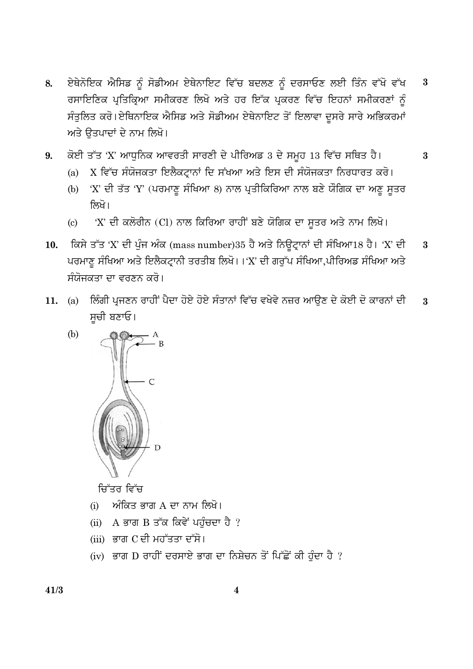- ਏਥੇਨੋਇਕ ਐਸਿਡ ਨੂੰ ਸੋਡੀਅਮ ਏਥੇਨਾਇਟ ਵਿੱਚ ਬਦਲਣ ਨੂੰ ਦਰਸਾਓਣ ਲਈ ਤਿੰਨ ਵੱਖੋ ਵੱਖ  $\bf{3}$ 8. ਰਸਾਇਣਿਕ ਪ੍ਰਤਿਕ੍ਰਿਆ ਸਮੀਕਰਣ ਲਿਖੋ ਅਤੇ ਹਰ ਇੱਕ ਪ੍ਰਕਰਣ ਵਿੱਚ ਇਹਨਾਂ ਸਮੀਕਰਣਾਂ ਨੰ ਸੰਤੁਲਿਤ ਕਰੋ।ਏਥਿਨਾਇਕ ਐਸਿਡ ਅਤੇ ਸੋਡੀਅਮ ਏਥੇਨਾਇਟ ਤੋਂ ਇਲਾਵਾ ਦੂਸਰੇ ਸਾਰੇ ਅਭਿਕਰਮਾਂ ਅਤੇ ਉਤਪਾਦਾਂ ਦੇ ਨਾਮ ਲਿਖੋ।
- ਕੋਈ ਤੱਤ 'X' ਆਧੁਨਿਕ ਆਵਰਤੀ ਸਾਰਣੀ ਦੇ ਪੀਰਿਅਡ 3 ਦੇ ਸਮੂਹ 13 ਵਿੱਚ ਸਥਿਤ ਹੈ। 9.  $\bf{3}$ 
	- X ਵਿੱਚ ਸੰਯੋਜਕਤਾ ਇਲੈਕਟ੍ਰਾਨਾਂ ਦਿ ਸੰਖਆ ਅਤੇ ਇਸ ਦੀ ਸੰਯੋਜਕਤਾ ਨਿਰਧਾਰਤ ਕਰੋ।  $(a)$
	- 'X' ਦੀ ਤੱਤ 'Y' (ਪਰਮਾਣ ਸੰਖਿਆ 8) ਨਾਲ ਪ੍ਰਤੀਕਿਰਿਆ ਨਾਲ ਬਣੇ ਯੌਗਿਕ ਦਾ ਅਣ ਸਤਰ  $(b)$ ਲਿਖੋ।
	- 'X' ਦੀ ਕਲੋਰੀਨ (Cl) ਨਾਲ ਕਿਰਿਆ ਰਾਹੀਂ ਬਣੇ ਯੋਗਿਕ ਦਾ ਸੂਤਰ ਅਤੇ ਨਾਮ ਲਿਖੋ।  $\left( \mathrm{e}\right)$
- ਕਿਸੇ ਤੱਤ 'X' ਦੀ ਪੁੰਜ ਅੰਕ (mass number)35 ਹੈ ਅਤੇ ਨਿਊਟ੍ਰਾਨਾਂ ਦੀ ਸੰਖਿਆ18 ਹੈ। 'X' ਦੀ  $\mathbf{a}$ 10. ਪਰਮਾਣੂ ਸੰਖਿਆ ਅਤੇ ਇਲੈਕਟ੍ਰਾਨੀ ਤਰਤੀਬ ਲਿਖੋ।।'X' ਦੀ ਗਰੁੱਪ ਸੰਖਿਆ,ਪੀਰਿਅਡ ਸੰਖਿਆ ਅਤੇ ਸੰਯੋਜਕਤਾ ਦਾ ਵਰਣਨ ਕਰੋ।
- ਲਿੰਗੀ ਪੁਜਣਨ ਰਾਹੀਂ ਪੈਦਾ ਹੋਏ ਹੋਏ ਸੰਤਾਨਾਂ ਵਿੱਚ ਵਖੇਵੇ ਨਜ਼ਰ ਆੳਣ ਦੇ ਕੋਈ ਦੋ ਕਾਰਨਾਂ ਦੀ 11. (a)  $\bf{3}$ ਸਚੀ ਬਣਾਓ।



 $(b)$ 

ਚਿੱਤਰ ਵਿੱਚ

- ਅੰਕਿਤ ਭਾਗ A ਦਾ ਨਾਮ ਲਿਖੋ।  $(i)$
- (ii) A ਭਾਗ B ਤੱਕ ਕਿਵੇਂ ਪਹੁੰਚਦਾ ਹੈ ?
- (iii) ਭਾਗ C ਦੀ ਮਹੱਤਤਾ ਦੱਸੋ।
- (iv) ਭਾਗ D ਰਾਹੀਂ ਦਰਸਾਏ ਭਾਗ ਦਾ ਨਿਸ਼ੇਚਨ ਤੋਂ ਪਿੱਛੋਂ ਕੀ ਹੁੰਦਾ ਹੈ ?

 $41/3$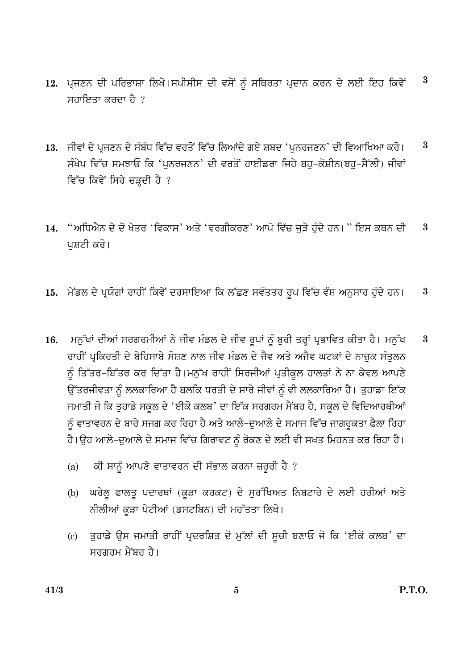- 12. ਪੁਜਣਨ ਦੀ ਪਰਿਭਾਸ਼ਾ ਲਿਖੋ।ਸਪੀਸੀਸ ਦੀ ਵਸੋਂ ਨੂੰ ਸਥਿਰਤਾ ਪ੍ਰਦਾਨ ਕਰਨ ਦੇ ਲਈ ਇਹ ਕਿਵੇਂ  $\bf{3}$ ਸਹਾਇਤਾ ਕਰਦਾ ਹੈ ?
- 13. ਜੀਵਾਂ ਦੇ ਪੁਜਣਨ ਦੇ ਸੰਬੰਧ ਵਿੱਚ ਵਰਤੋਂ ਵਿੱਚ ਲਿਆਂਦੇ ਗਏ ਸ਼ਬਦ 'ਪਨਰਜਣਨ' ਦੀ ਵਿਆਖਿਆ ਕਰੋ। 3 ਸੰਖੇਪ ਵਿੱਚ ਸਮਝਾਓ ਕਿ 'ਪਨਰਜਣਨ' ਦੀ ਵਰਤੋਂ ਹਾਈਡਰਾ ਜਿਹੇ ਬਹ-ਕੋਸ਼ੀਨ(ਬਹ-ਸੈੱਲੀ) ਜੀਵਾਂ ਵਿੱਚ ਕਿਵੇਂ ਸਿਰੇ ਚੜ੍ਹਦੀ ਹੈ ?
- "ਅਧਿਐਨ ਦੇ ਦੋ ਖੇਤਰ 'ਵਿਕਾਸ' ਅਤੇ 'ਵਰਗੀਕਰਣ' ਆਪੋ ਵਿੱਚ ਜੜੇ ਹੰਦੇ ਹਨ। '' ਇਸ ਕਥਨ ਦੀ  $\bf{3}$ 14. ਪਸ਼ਟੀ ਕਰੋ।
- 15. ਮੇਂਡਲ ਦੇ ਪ੍ਰਯੋਗਾਂ ਰਾਹੀਂ ਕਿਵੇਂ ਦਰਸਾਇਆ ਕਿ ਲੱਛਣ ਸਵੰਤਤਰ ਰੂਪ ਵਿੱਚ ਵੰਸ਼ ਅਨੁਸਾਰ ਹੁੰਦੇ ਹਨ।  $\bf{3}$
- ਮਨੁੱਖਾਂ ਦੀਆਂ ਸਰਗਰਮੀਆਂ ਨੇ ਜੀਵ ਮੰਡਲ ਦੇ ਜੀਵ ਰੂਪਾਂ ਨੂੰ ਬੁਰੀ ਤਰ੍ਹਾਂ ਪ੍ਰਭਾਵਿਤ ਕੀਤਾ ਹੈ। ਮਨੁੱਖ  $\overline{\mathbf{3}}$ 16. ਰਾਹੀਂ ਪੁਕਿਰਤੀ ਦੇ ਬੇਹਿਸਾਬੇ ਸੋਸ਼ਣ ਨਾਲ ਜੀਵ ਮੰਡਲ ਦੇ ਜੈਵ ਅਤੇ ਅਜੈਵ ਘਟਕਾਂ ਦੇ ਨਾਜ਼ਕ ਸੰਤਲਨ ਨੂੰ ਤਿੱਤਰ-ਬਿੱਤਰ ਕਰ ਦਿੱਤਾ ਹੈ।ਮਨੁੱਖ ਰਾਹੀਂ ਸਿਰਜੀਆਂ ਪ੍ਰਤੀਕੁਲ ਹਾਲਤਾਂ ਨੇ ਨਾ ਕੇਵਲ ਆਪਣੇ ਉੱਤਰਜੀਵਤਾ ਨੂੰ ਲਲਕਾਰਿਆ ਹੈ ਬਲਕਿ ਧਰਤੀ ਦੇ ਸਾਰੇ ਜੀਵਾਂ ਨੂੰ ਵੀ ਲਲਕਾਰਿਆ ਹੈ। ਤੁਹਾਡਾ ਇੱਕ ਜਮਾਤੀ ਜੋ ਕਿ ਤੁਹਾਡੇ ਸਕੂਲ ਦੇ 'ਈਕੋ ਕਲਬ' ਦਾ ਇੱਕ ਸਰਗਰਮ ਮੈਂਬਰ ਹੈ, ਸਕੂਲ ਦੇ ਵਿਦਿਆਰਥੀਆਂ ਨੂੰ ਵਾਤਾਵਰਨ ਦੇ ਬਾਰੇ ਸਜਗ ਕਰ ਰਿਹਾ ਹੈ ਅਤੇ ਆਲੇ-ਦੁਆਲੇ ਦੇ ਸਮਾਜ ਵਿੱਚ ਜਾਗਰੁਕਤਾ ਫੈਲਾ ਰਿਹਾ ਹੈ।ਉਹ ਆਲੇ-ਦੁਆਲੇ ਦੇ ਸਮਾਜ ਵਿੱਚ ਗਿਰਾਵਟ ਨੂੰ ਰੋਕਣ ਦੇ ਲਈ ਵੀ ਸਖਤ ਮਿਹਨਤ ਕਰ ਰਿਹਾ ਹੈ।
	- ਕੀ ਸਾਨੂੰ ਆਪਣੇ ਵਾਤਾਵਰਨ ਦੀ ਸੰਭਾਲ ਕਰਨਾ ਜ਼ਰੂਰੀ ਹੈ ?  $(a)$
	- ਘਰੇਲੂ ਫਾਲਤੂ ਪਦਾਰਥਾਂ (ਕੁੜਾ ਕਰਕਟ) ਦੇ ਸੁਰੱਖਿਅਤ ਨਿਬਟਾਰੇ ਦੇ ਲਈ ਹਰੀਆਂ ਅਤੇ  $(b)$ ਨੀਲੀਆਂ ਕੜਾ ਪੇਟੀਆਂ (ਡਸਟਬਿਨ) ਦੀ ਮਹੱਤਤਾ ਲਿਖੋ।
	- (c) ਤਹਾਡੇ ਉਸ ਜਮਾਤੀ ਰਾਹੀਂ ਪ੍ਰਦਰਸ਼ਿਤ ਦੋ ਮੱਲਾਂ ਦੀ ਸੂਚੀ ਬਣਾਓ ਜੋ ਕਿ 'ਈਕੋ ਕਲਬ' ਦਾ ਸਰਗਰਮ ਮੈਂਸਰ ਹੈ।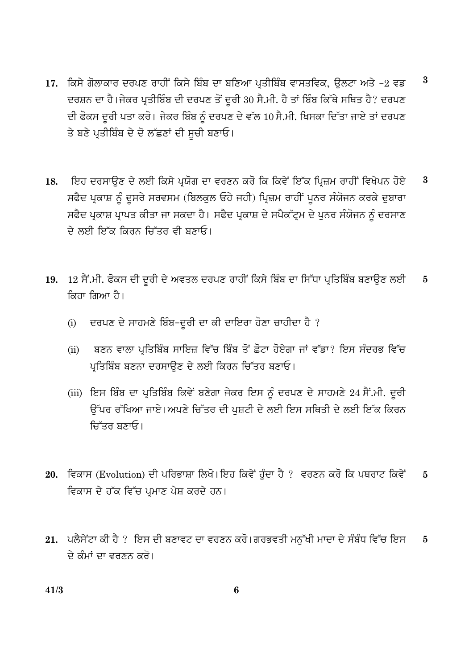- 17. ਕਿਸੇ ਗੋਲਾਕਾਰ ਦਰਪਣ ਰਾਹੀਂ ਕਿਸੇ ਬਿੰਬ ਦਾ ਬਣਿਆ ਪਤੀਬਿੰਬ ਵਾਸਤਵਿਕ, ਉਲਟਾ ਅਤੇ -2 ਵਡ  $\bf{3}$ ਦਰਸ਼ਨ ਦਾ ਹੈ।ਜੇਕਰ ਪ੍ਰਤੀਬਿੰਬ ਦੀ ਦਰਪਣ ਤੋਂ ਦਰੀ 30 ਸੈ.ਮੀ. ਹੈ ਤਾਂ ਬਿੰਬ ਕਿੱਥੇ ਸਥਿਤ ਹੈ? ਦਰਪਣ ਦੀ ਫੋਕਸ ਦੂਰੀ ਪਤਾ ਕਰੋ। ਜੇਕਰ ਬਿੰਬ ਨੂੰ ਦਰਪਣ ਦੇ ਵੱਲ 10 ਸੈ.ਮੀ. ਖਿਸਕਾ ਦਿੱਤਾ ਜਾਏ ਤਾਂ ਦਰਪਣ ਤੇ ਬਣੇ ਪ੍ਰਤੀਬਿੰਬ ਦੇ ਦੋ ਲੱਛਣਾਂ ਦੀ ਸੂਚੀ ਬਣਾਓ।
- ਇਹ ਦਰਸਾਉਣ ਦੇ ਲਈ ਕਿਸੇ ਪ੍ਰਯੋਗ ਦਾ ਵਰਣਨ ਕਰੋ ਕਿ ਕਿਵੇਂ ਇੱਕ ਪ੍ਰਿਜ਼ਮ ਰਾਹੀਂ ਵਿਖੇਪਨ ਹੋਏ  $\bf{3}$ 18. ਸਫੈਦ ਪ੍ਰਕਾਸ਼ ਨੂੰ ਦੂਸਰੇ ਸਰਵਸਮ (ਬਿਲਕੁਲ ਓਹੇ ਜਹੀ) ਪ੍ਰਿਜ਼ਮ ਰਾਹੀਂ ਪੁਨਰ ਸੰਯੋਜਨ ਕਰਕੇ ਦੁਬਾਰਾ ਸਫੈਦ ਪ੍ਰਕਾਸ਼ ਪ੍ਰਾਪਤ ਕੀਤਾ ਜਾ ਸਕਦਾ ਹੈ। ਸਫੈਦ ਪ੍ਰਕਾਸ਼ ਦੇ ਸਪੈਕੱਟ੍ਰਮ ਦੇ ਪੁਨਰ ਸੰਯੋਜਨ ਨੂੰ ਦਰਸਾਣ ਦੇ ਲਈ ਇੱਕ ਕਿਰਨ ਜਿੱਤਰ ਵੀ ਬਣਾਓ।
- 19. 12 ਸੈਂ.ਮੀ. ਫੋਕਸ ਦੀ ਦੂਰੀ ਦੇ ਅਵਤਲ ਦਰਪਣ ਰਾਹੀਂ ਕਿਸੇ ਬਿੰਬ ਦਾ ਸਿੱਧਾ ਪ੍ਰਤਿਬਿੰਬ ਬਣਾਉਣ ਲਈ  $\bf{5}$ ਕਿਹਾ ਗਿਆ ਹੈ।
	- ਦਰਪਣ ਦੇ ਸਾਹਮਣੇ ਬਿੰਬ-ਦੂਰੀ ਦਾ ਕੀ ਦਾਇਰਾ ਹੋਣਾ ਚਾਹੀਦਾ ਹੈ ?  $(i)$
	- ਬਣਨ ਵਾਲਾ ਪ੍ਰਤਿਬਿੰਬ ਸਾਇਜ਼ ਵਿੱਚ ਬਿੰਬ ਤੋਂ ਛੋਟਾ ਹੋਏਗਾ ਜਾਂ ਵੱਡਾ? ਇਸ ਸੰਦਰਭ ਵਿੱਚ  $(ii)$ ਪ੍ਰਤਿਬਿੰਬ ਬਣਨਾ ਦਰਸਾਉਣ ਦੇ ਲਈ ਕਿਰਨ ਚਿੱਤਰ ਬਣਾਓ।
	- (iii) ਇਸ ਬਿੰਬ ਦਾ ਪ੍ਰਤਿਬਿੰਬ ਕਿਵੇਂ ਬਣੇਗਾ ਜੇਕਰ ਇਸ ਨੂੰ ਦਰਪਣ ਦੇ ਸਾਹਮਣੇ 24 ਸੈਂ.ਮੀ. ਦੂਰੀ ਉੱਪਰ ਰੱਖਿਆ ਜਾਏ।ਅਪਣੇ ਚਿੱਤਰ ਦੀ ਪਸ਼ਟੀ ਦੇ ਲਈ ਇਸ ਸਥਿਤੀ ਦੇ ਲਈ ਇੱਕ ਕਿਰਨ ਚਿੱਤਰ ਬਣਾਓ।
- 20. ਵਿਕਾਸ (Evolution) ਦੀ ਪਰਿਭਾਸ਼ਾ ਲਿਖੋ। ਇਹ ਕਿਵੇਂ ਹੰਦਾ ਹੈ ? ਵਰਣਨ ਕਰੋ ਕਿ ਪਥਰਾਟ ਕਿਵੇਂ  $\overline{5}$ ਵਿਕਾਸ ਦੇ ਹੱਕ ਵਿੱਚ ਪਮਾਣ ਪੇਸ਼ ਕਰਦੇ ਹਨ।
- 21. ਪਲੈਸੇਂਟਾ ਕੀ ਹੈ ? ਇਸ ਦੀ ਬਣਾਵਟ ਦਾ ਵਰਣਨ ਕਰੋ।ਗਰਭਵਤੀ ਮਨੱਖੀ ਮਾਦਾ ਦੇ ਸੰਬੰਧ ਵਿੱਚ ਇਸ  $\overline{5}$ ਦੇ ਕੰਮਾਂ ਦਾ ਵਰਣਨ ਕਰੋ।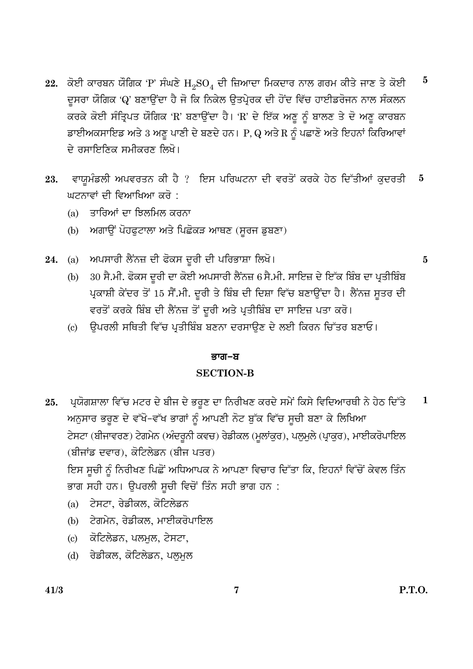- 22. ਕੋਈ ਕਾਰਬਨ ਯੌਗਿਕ 'P' ਸੰਘਣੇ  $H_2SO_4$  ਦੀ ਜ਼ਿਆਦਾ ਮਿਕਦਾਰ ਨਾਲ ਗਰਮ ਕੀਤੇ ਜਾਣ ਤੇ ਕੋਈ  $\bf{5}$ ਦਸਰਾ ਯੌਗਿਕ 'Q' ਬਣਾਉਂਦਾ ਹੈ ਜੋ ਕਿ ਨਿਕੇਲ ਉਤਪ੍ਰੇਰਕ ਦੀ ਹੋਂਦ ਵਿੱਚ ਹਾਈਡਰੋਜਨ ਨਾਲ ਸੰਕਲਨ ਕਰਕੇ ਕੋਈ ਸੰਤ੍ਰਿਪਤ ਯੌਗਿਕ 'R' ਬਣਾਉਂਦਾ ਹੈ। 'R' ਦੇ ਇੱਕ ਅਣੁ ਨੂੰ ਬਾਲਣ ਤੇ ਦੋ ਅਣੁ ਕਾਰਬਨ ਡਾਈਅਕਸਾਇਡ ਅਤੇ 3 ਅਣੁ ਪਾਣੀ ਦੇ ਬਣਦੇ ਹਨ। P, Q ਅਤੇ R ਨੂੰ ਪਛਾਣੋ ਅਤੇ ਇਹਨਾਂ ਕਿਰਿਆਵਾਂ <u>ਦੇ ਰਸਾਇਣਿਕ ਸਮੀਕਰਣ ਲਿਖੋ।</u>
- ਵਾਯੂਮੰਡਲੀ ਅਪਵਰਤਨ ਕੀ ਹੈ ? ਇਸ ਪਰਿਘਟਨਾ ਦੀ ਵਰਤੋਂ ਕਰਕੇ ਹੇਠ ਦਿੱਤੀਆਂ ਕੁਦਰਤੀ 23.  $\overline{\mathbf{5}}$ ਘਟਨਾਵਾਂ ਦੀ ਵਿਆਖਿਆ ਕਰੋ :
	- (a) ਤਾਰਿਆਂ ਦਾ ਝਿਲਮਿਲ ਕਰਨਾ
	- (b) ਅਗਾੳਂ ਪੋਹਫਟਾਲਾ ਅਤੇ ਪਿਛੋਕੜ ਆਥਣ (ਸਰਜ ਡਬਣਾ)
- (a) ਅਪਸਾਰੀ ਲੈਂਨਜ਼ ਦੀ ਫੋਕਸ ਦੂਰੀ ਦੀ ਪਰਿਭਾਸ਼ਾ ਲਿਖੋ। 24.

 $\bf{5}$ 

- 30 ਸੈ.ਮੀ. ਫੋਕਸ ਦੂਰੀ ਦਾ ਕੋਈ ਅਪਸਾਰੀ ਲੈਂਨਜ਼ 6 ਸੈ.ਮੀ. ਸਾਇਜ਼ ਦੇ ਇੱਕ ਬਿੰਬ ਦਾ ਪ੍ਰਤੀਬਿੰਬ  $(b)$ ਪ੍ਰਕਾਸ਼ੀ ਕੇਂਦਰ ਤੋਂ 15 ਸੈਂ.ਮੀ. ਦੂਰੀ ਤੇ ਬਿੰਬ ਦੀ ਦਿਸ਼ਾ ਵਿੱਚ ਬਣਾਉਂਦਾ ਹੈ। ਲੈਂਨਜ਼ ਸੂਤਰ ਦੀ ਵਰਤੋਂ ਕਰਕੇ ਬਿੰਬ ਦੀ ਲੈਂਨਜ਼ ਤੋਂ ਦੂਰੀ ਅਤੇ ਪ੍ਰਤੀਬਿੰਬ ਦਾ ਸਾਇਜ਼ ਪਤਾ ਕਰੋ।
- ਉਪਰਲੀ ਸਥਿਤੀ ਵਿੱਚ ਪਤੀਬਿੰਬ ਬਣਨਾ ਦਰਸਾਉਣ ਦੇ ਲਈ ਕਿਰਨ ਚਿੱਤਰ ਬਣਾਓ।  $\left( \mathrm{c}\right)$

#### ਭਾਗ–ਬ

#### **SECTION-B**

- ਪ੍ਰਯੋਗਸ਼ਾਲਾ ਵਿੱਚ ਮਟਰ ਦੇ ਬੀਜ ਦੇ ਭਰੁਣ ਦਾ ਨਿਰੀਖਣ ਕਰਦੇ ਸਮੇਂ ਕਿਸੇ ਵਿਦਿਆਰਥੀ ਨੇ ਹੇਠ ਦਿੱਤੇ  $\mathbf{1}$ 25. ਅਨੁਸਾਰ ਭਰੂਣ ਦੇ ਵੱਖੋ-ਵੱਖ ਭਾਗਾਂ ਨੂੰ ਆਪਣੀ ਨੋਟ ਬੁੱਕ ਵਿੱਚ ਸੂਚੀ ਬਣਾ ਕੇ ਲਿਖਿਆ ਟੇਸਟਾ (ਬੀਜਾਵਰਣ) ਟੇਗਮੇਨ (ਅੰਦਰੁਨੀ ਕਵਚ) ਰੇਡੀਕਲ (ਮੂਲਾਂਕੁਰ), ਪਲੁਮੁਲੇ (ਪ੍ਰਾਕੁਰ), ਮਾਈਕਰੋਪਾਇਲ (ਬੀਜਾਂਡ ਦਵਾਰ), ਕੋਟਿਲੇਡਨ (ਬੀਜ ਪਤਰ) ਇਸ ਸੂਚੀ ਨੂੰ ਨਿਰੀਖਣ ਪਿਛੋਂ ਅਧਿਆਪਕ ਨੇ ਆਪਣਾ ਵਿਚਾਰ ਦਿੱਤਾ ਕਿ, ਇਹਨਾਂ ਵਿੱਚੋਂ ਕੇਵਲ ਤਿੰਨ
	- ਭਾਗ ਸਹੀ ਹਨ। ਉਪਰਲੀ ਸੁਚੀ ਵਿਚੋਂ ਤਿੰਨ ਸਹੀ ਭਾਗ ਹਨ :
	- (a) ਟੇਸਟਾ, ਰੇਡੀਕਲ, ਕੋਟਿਲੇਡਨ
	- (b) ਟੇਗਮੇਨ, ਰੇਡੀਕਲ, ਮਾਈਕਰੋਪਾਇਲ
	- (c) ਕੋਟਿਲੇਡਨ, ਪਲਮਲ, ਟੇਸਟਾ,
	- (d) ਰੇਡੀਕਲ, ਕੋਟਿਲੇਡਨ, ਪਲਮਲ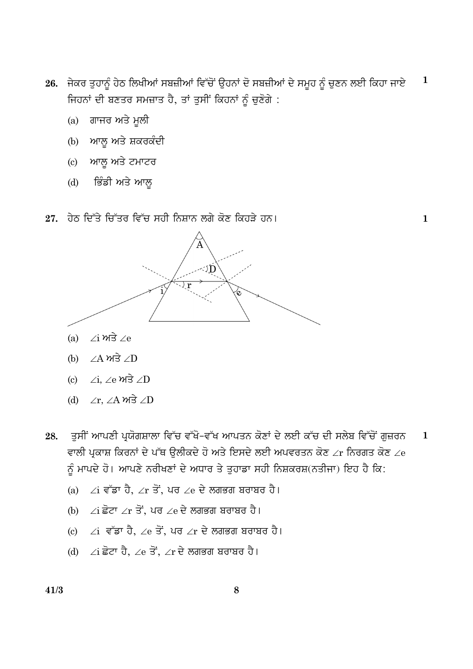- 26. ਜੇਕਰ ਤੁਹਾਨੂੰ ਹੇਠ ਲਿਖੀਆਂ ਸਬਜ਼ੀਆਂ ਵਿੱਚੋਂ ਉਹਨਾਂ ਦੋ ਸਬਜ਼ੀਆਂ ਦੇ ਸਮੂਹ ਨੂੰ ਚੁਣਨ ਲਈ ਕਿਹਾ ਜਾਏ  $\mathbf{1}$ ਜਿਹਨਾਂ ਦੀ ਬਣਤਰ ਸਮਜ਼ਾਤ ਹੈ, ਤਾਂ ਤੁਸੀਂ ਕਿਹਨਾਂ ਨੂੰ ਚੁਣੋਗੇ :
	- ਗਾਜਰ ਅਤੇ ਮੁਲੀ  $(a)$
	- (b) ਆਲੂ ਅਤੇ ਸ਼ਕਰਕੰਦੀ
	- (c) ਆਲ ਅਤੇ ਟਮਾਟਰ
	- ਭਿੰਡੀ ਅਤੇ ਆਲੁ  $(d)$
- $27.$  ਹੇਠ ਦਿੱਤੇ ਚਿੱਤਰ ਵਿੱਚ ਸਹੀ ਨਿਸ਼ਾਨ ਲਗੇ ਕੋਣ ਕਿਹੜੇ ਹਨ।

្យ $\hat{\mathsf{D}}$ 

 $\mathbf{1}$ 



- $\angle A$  ਅਤੇ  $\angle D$  $(b)$
- $/i.$  /e  $m\overrightarrow{3}$  /D  $\epsilon$
- (d)  $\angle$ r,  $\angle$ A ਅਤੇ  $\angle$ D
- ਤੁਸੀਂ ਆਪਣੀ ਪ੍ਰਯੋਗਸ਼ਾਲਾ ਵਿੱਚ ਵੱਖੋ-ਵੱਖ ਆਪਤਨ ਕੋਣਾਂ ਦੇ ਲਈ ਕੱਚ ਦੀ ਸਲੇਬ ਵਿੱਚੋਂ ਗੁਜ਼ਰਨ 28.  $\mathbf{1}$ ਵਾਲੀ ਪ੍ਰਕਾਸ਼ ਕਿਰਨਾਂ ਦੇ ਪੱਥ ਉਲੀਕਦੇ ਹੋ ਅਤੇ ਇਸਦੇ ਲਈ ਅਪਵਰਤਨ ਕੋਣ ∠r ਨਿਰਗਤ ਕੋਣ ∠e ਨੂੰ ਮਾਪਦੇ ਹੋ। ਆਪਣੇ ਨਰੀਖਣਾਂ ਦੇ ਅਧਾਰ ਤੇ ਤੁਹਾਡਾ ਸਹੀ ਨਿਸ਼ਕਰਸ਼(ਨਤੀਜਾ) ਇਹ ਹੈ ਕਿ:
	- (a) ∠i ਵੱਡਾ ਹੈ, ∠r ਤੋਂ, ਪਰ ∠e ਦੇ ਲਗਭਗ ਬਰਾਬਰ ਹੈ।
	- (b) ∠i ਛੋਟਾ ∠r ਤੋਂ, ਪਰ ∠e ਦੇ ਲਗਭਗ ਬਰਾਬਰ ਹੈ।
	- (c) ∠i ਵੱਡਾ ਹੈ, ∠e ਤੋਂ, ਪਰ ∠r ਦੇ ਲਗਭਗ ਬਰਾਬਰ ਹੈ।
	- (d)  $\angle$ i ਛੋਟਾ ਹੈ,  $\angle$ e ਤੋਂ,  $\angle$ r ਦੇ ਲਗਭਗ ਬਰਾਬਰ ਹੈ।

 $41/3$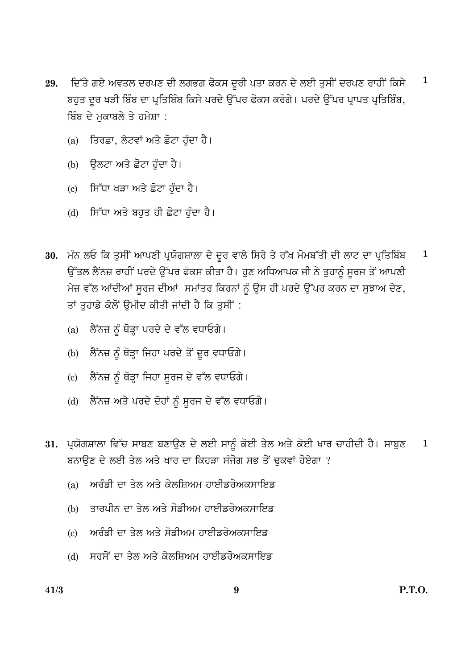- ਦਿੱਤੇ ਗਏ ਅਵਤਲ ਦਰਪਣ ਦੀ ਲਗਭਗ ਫੋਕਸ ਦੂਰੀ ਪਤਾ ਕਰਨ ਦੇ ਲਈ ਤੁਸੀਂ ਦਰਪਣ ਰਾਹੀਂ ਕਿਸੇ  $\mathbf{1}$ 29. ਬਹੁਤ ਦੂਰ ਖੜੀ ਬਿੰਬ ਦਾ ਪ੍ਰਤਿਬਿੰਬ ਕਿਸੇ ਪਰਦੇ ਉੱਪਰ ਫੋਕਸ ਕਰੋਗੇ। ਪਰਦੇ ਉੱਪਰ ਪ੍ਰਾਪਤ ਪ੍ਰਤਿਬਿੰਬ, ਬਿੰਬ ਦੇ ਮਕਾਬਲੇ ਤੇ ਹਮੇਸ਼ਾ :
	- ਤਿਰਛਾ, ਲੇਟਵਾਂ ਅਤੇ ਛੋਟਾ ਹੰਦਾ ਹੈ।  $(a)$
	- (b) ਉਲਟਾ ਅਤੇ ਛੋਟਾ ਹੰਦਾ ਹੈ।
	- (c) ਸਿੱਧਾ ਖਤਾ ਅਤੇ ਛੋਟਾ ਹੰਦਾ ਹੈ।
	- (d) ਸਿੱਧਾ ਅਤੇ ਬਹਤ ਹੀ ਛੋਟਾ ਹੰਦਾ ਹੈ।
- 30. ਮੰਨ ਲਓ ਕਿ ਤੁਸੀਂ ਆਪਣੀ ਪ੍ਰਯੋਗਸ਼ਾਲਾ ਦੇ ਦੂਰ ਵਾਲੇ ਸਿਰੇ ਤੇ ਰੱਖ ਮੋਮਬੱਤੀ ਦੀ ਲਾਟ ਦਾ ਪ੍ਰਤਿਬਿੰਬ  $\mathbf{1}$ ਉੱਤਲ ਲੈਂਨਜ਼ ਰਾਹੀਂ ਪਰਦੇ ਉੱਪਰ ਫੋਕਸ ਕੀਤਾ ਹੈ। ਹੁਣ ਅਧਿਆਪਕ ਜੀ ਨੇ ਤੁਹਾਨੂੰ ਸੂਰਜ ਤੋਂ ਆਪਣੀ ਮੇਜ਼ ਵੱਲ ਆਂਦੀਆਂ ਸੂਰਜ ਦੀਆਂ ਸਮਾਂਤਰ ਕਿਰਨਾਂ ਨੂੰ ਉਸ ਹੀ ਪਰਦੇ ਉੱਪਰ ਕਰਨ ਦਾ ਸੁਝਾਅ ਦੇਣ, ਤਾਂ ਤਹਾਡੇ ਕੋਲੋਂ ਉਮੀਦ ਕੀਤੀ ਜਾਂਦੀ ਹੈ ਕਿ ਤਸੀਂ :
	- ਲੈਂਨਜ਼ ਨੂੰ ਥੋੜ੍ਹਾ ਪਰਦੇ ਦੇ ਵੱਲ ਵਧਾਓਗੇ।  $(a)$
	- ਲੈਂਨਜ਼ ਨੂੰ ਥੋੜ੍ਹਾ ਜਿਹਾ ਪਰਦੇ ਤੋਂ ਦੂਰ ਵਧਾਓਗੇ।  $(b)$
	- ਲੈਂਨਜ਼ ਨੰ ਥੋੜ੍ਹਾ ਜਿਹਾ ਸਰਜ ਦੇ ਵੱਲ ਵਧਾਓਗੇ।  $(c)$
	- (d) ਲੈਂਨਜ਼ ਅਤੇ ਪਰਦੇ ਦੋਹਾਂ ਨੂੰ ਸੂਰਜ ਦੇ ਵੱਲ ਵਧਾਓਗੇ।
- 31. ਪ੍ਰਯੋਗਸ਼ਾਲਾ ਵਿੱਚ ਸਾਬਣ ਬਣਾਉਣ ਦੇ ਲਈ ਸਾਨੂੰ ਕੋਈ ਤੇਲ ਅਤੇ ਕੋਈ ਖਾਰ ਚਾਹੀਦੀ ਹੈ। ਸਾਬੁਣ  $\mathbf 1$ ਬਨਾਉਣ ਦੇ ਲਈ ਤੇਲ ਅਤੇ ਖਾਰ ਦਾ ਕਿਹੜਾ ਸੰਜੋਗ ਸਭ ਤੋਂ ਢਕਵਾਂ ਹੋਏਗਾ ?
	- ਅਰੰਡੀ ਦਾ ਤੇਲ ਅਤੇ ਕੇਲਸਿਅਮ ਹਾਈਡਰੋਅਕਸਾਇਡ  $(a)$
	- (b) ਤਾਰਪੀਨ ਦਾ ਤੇਲ ਅਤੇ ਸੋਡੀਅਮ ਹਾਈਡਰੋਅਕਸਾਇਡ
	- ਅਰੰਡੀ ਦਾ ਤੇਲ ਅਤੇ ਸੋਡੀਅਮ ਹਾਈਡਰੋਅਕਸਾਇਡ  $\left( \mathrm{c} \right)$
	- (d) ਸਰਸੋਂ ਦਾ ਤੇਲ ਅਤੇ ਕੇਲਸ਼ਿਅਮ ਹਾਈਡਰੋਅਕਸਾਇਡ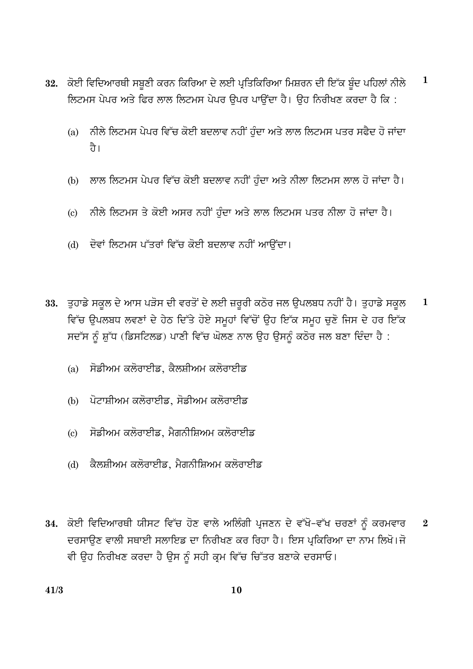- $\mathbf{1}$ 32. ਕੋਈ ਵਿਦਿਆਰਥੀ ਸਬੂਣੀ ਕਰਨ ਕਿਰਿਆ ਦੇ ਲਈ ਪ੍ਰਤਿਕਿਰਿਆ ਮਿਸ਼ਰਨ ਦੀ ਇੱਕ ਬੂੰਦ ਪਹਿਲਾਂ ਨੀਲੇ ਲਿਟਮਸ ਪੇਪਰ ਅਤੇ ਫਿਰ ਲਾਲ ਲਿਟਮਸ ਪੇਪਰ ੳਪਰ ਪਾੳਂਦਾ ਹੈ। ੳਹ ਨਿਰੀਖਣ ਕਰਦਾ ਹੈ ਕਿ :
	- ਨੀਲੇ ਲਿਟਮਸ ਪੇਪਰ ਵਿੱਚ ਕੋਈ ਬਦਲਾਵ ਨਹੀਂ ਹੁੰਦਾ ਅਤੇ ਲਾਲ ਲਿਟਮਸ ਪਤਰ ਸਫੈਦ ਹੋ ਜਾਂਦਾ  $(a)$ ਹੈ।
	- ਲਾਲ ਲਿਟਮਸ ਪੇਪਰ ਵਿੱਚ ਕੋਈ ਬਦਲਾਵ ਨਹੀਂ ਹੰਦਾ ਅਤੇ ਨੀਲਾ ਲਿਟਮਸ ਲਾਲ ਹੋ ਜਾਂਦਾ ਹੈ।  $(b)$
	- ਨੀਲੇ ਲਿਟਮਸ ਤੇ ਕੋਈ ਅਸਰ ਨਹੀਂ ਹੰਦਾ ਅਤੇ ਲਾਲ ਲਿਟਮਸ ਪਤਰ ਨੀਲਾ ਹੋ ਜਾਂਦਾ ਹੈ।  $\left( \mathrm{c}\right)$
	- (d) ਦੋਵਾਂ ਲਿਟਮਸ ਪੱਤਰਾਂ ਵਿੱਚ ਕੋਈ ਬਦਲਾਵ ਨਹੀਂ ਆਉਂਦਾ।
- 33. ਤੁਹਾਡੇ ਸਕੂਲ ਦੇ ਆਸ ਪੜੋਸ ਦੀ ਵਰਤੋਂ ਦੇ ਲਈ ਜ਼ਰੂਰੀ ਕਠੋਰ ਜਲ ਉਪਲਬਧ ਨਹੀਂ ਹੈ। ਤੁਹਾਡੇ ਸਕੂਲ  $\mathbf{1}$ ਵਿੱਚ ਉਪਲਬਧ ਲਵਣਾਂ ਦੇ ਹੇਠ ਦਿੱਤੇ ਹੋਏ ਸਮੂਹਾਂ ਵਿੱਚੋਂ ਉਹ ਇੱਕ ਸਮੂਹ ਚੁਣੋ ਜਿਸ ਦੇ ਹਰ ਇੱਕ ਸਦੱਸ ਨੂੰ ਸ਼ੁੱਧ (ਡਿਸਟਿਲਡ) ਪਾਣੀ ਵਿੱਚ ਘੋਲਣ ਨਾਲ ਉਹ ਉਸਨੂੰ ਕਠੋਰ ਜਲ ਬਣਾ ਦਿੰਦਾ ਹੈ :
	- ਸੋਡੀਅਮ ਕਲੋਰਾਈਡ, ਕੈਲਸ਼ੀਅਮ ਕਲੋਰਾਈਡ  $(a)$
	- (b) ਪੋਟਾਸ਼ੀਅਮ ਕਲੋਰਾਈਡ, ਸੋਡੀਅਮ ਕਲੋਰਾਈਡ
	- ਸੋਡੀਅਮ ਕਲੋਰਾਈਡ, ਮੈਗਨੀਸ਼ਿਅਮ ਕਲੋਰਾਈਡ  $\left( \mathrm{e}\right)$
	- ਕੈਲਸ਼ੀਅਮ ਕਲੋਰਾਈਡ, ਮੈਗਨੀਸ਼ਿਅਮ ਕਲੋਰਾਈਡ  $(d)$
- 34. ਕੋਈ ਵਿਦਿਆਰਥੀ ਯੀਸਟ ਵਿੱਚ ਹੋਣ ਵਾਲੇ ਅਲਿੰਗੀ ਪ੍ਰਜਣਨ ਦੇ ਵੱਖੋ-ਵੱਖ ਚਰਣਾਂ ਨੂੰ ਕਰਮਵਾਰ  $\overline{2}$ ਦਰਸਾਉਣ ਵਾਲੀ ਸਥਾਈ ਸਲਾਇਡ ਦਾ ਨਿਰੀਖਣ ਕਰ ਰਿਹਾ ਹੈ। ਇਸ ਪ੍ਰਕਿਰਿਆ ਦਾ ਨਾਮ ਲਿਖੋ।ਜੋ ਵੀ ਉਹ ਨਿਰੀਖਣ ਕਰਦਾ ਹੈ ਉਸ ਨੂੰ ਸਹੀ ਕ੍ਰਮ ਵਿੱਚ ਚਿੱਤਰ ਬਣਾਕੇ ਦਰਸਾਓ।